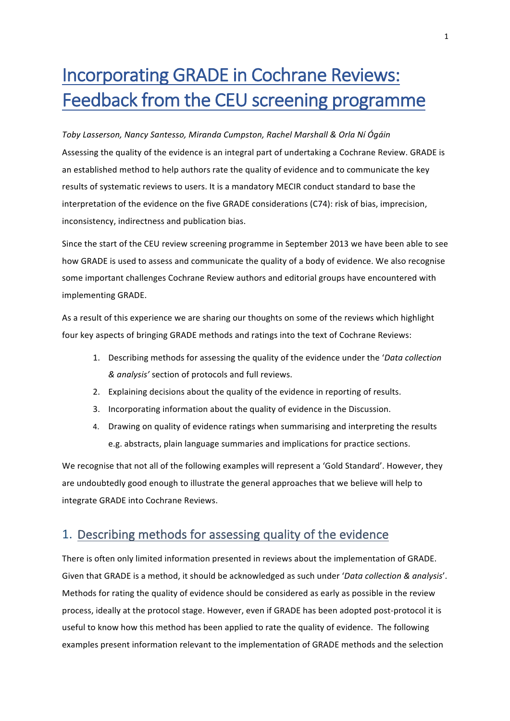# Incorporating GRADE in Cochrane Reviews: Feedback from the CEU screening programme

*Toby Lasserson, Nancy Santesso, Miranda Cumpston, Rachel Marshall & Orla Ní Ógáin* Assessing the quality of the evidence is an integral part of undertaking a Cochrane Review. GRADE is an established method to help authors rate the quality of evidence and to communicate the key results of systematic reviews to users. It is a mandatory MECIR conduct standard to base the interpretation of the evidence on the five GRADE considerations (C74): risk of bias, imprecision, inconsistency, indirectness and publication bias.

Since the start of the CEU review screening programme in September 2013 we have been able to see how GRADE is used to assess and communicate the quality of a body of evidence. We also recognise some important challenges Cochrane Review authors and editorial groups have encountered with implementing GRADE.

As a result of this experience we are sharing our thoughts on some of the reviews which highlight four key aspects of bringing GRADE methods and ratings into the text of Cochrane Reviews:

- 1. Describing methods for assessing the quality of the evidence under the *'Data collection & analysis'* section of protocols and full reviews.
- 2. Explaining decisions about the quality of the evidence in reporting of results.
- 3. Incorporating information about the quality of evidence in the Discussion.
- 4. Drawing on quality of evidence ratings when summarising and interpreting the results e.g. abstracts, plain language summaries and implications for practice sections.

We recognise that not all of the following examples will represent a 'Gold Standard'. However, they are undoubtedly good enough to illustrate the general approaches that we believe will help to integrate GRADE into Cochrane Reviews.

## 1. Describing methods for assessing quality of the evidence

There is often only limited information presented in reviews about the implementation of GRADE. Given that GRADE is a method, it should be acknowledged as such under 'Data collection & analysis'. Methods for rating the quality of evidence should be considered as early as possible in the review process, ideally at the protocol stage. However, even if GRADE has been adopted post-protocol it is useful to know how this method has been applied to rate the quality of evidence. The following examples present information relevant to the implementation of GRADE methods and the selection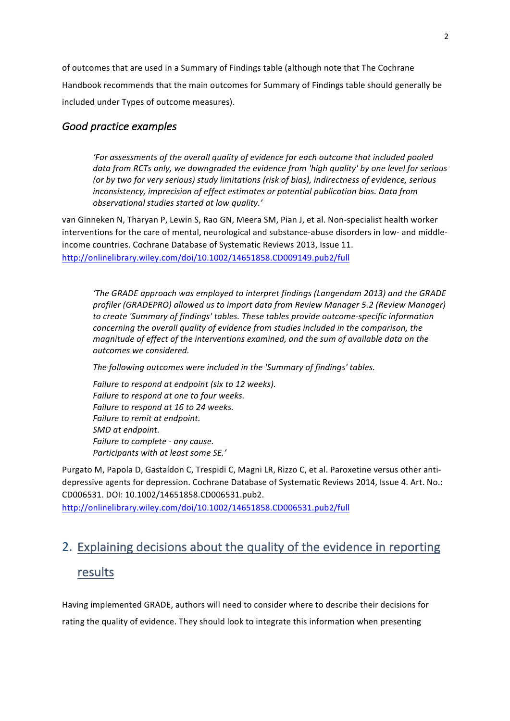of outcomes that are used in a Summary of Findings table (although note that The Cochrane Handbook recommends that the main outcomes for Summary of Findings table should generally be included under Types of outcome measures).

## Good practice examples

'For assessments of the overall quality of evidence for each outcome that included pooled data from RCTs only, we downgraded the evidence from 'high quality' by one level for serious (or by two for very serious) study limitations (risk of bias), indirectness of evidence, serious *inconsistency, imprecision of effect estimates or potential publication bias. Data from observational studies started at low quality.'*

van Ginneken N, Tharyan P, Lewin S, Rao GN, Meera SM, Pian J, et al. Non-specialist health worker interventions for the care of mental, neurological and substance-abuse disorders in low- and middleincome countries. Cochrane Database of Systematic Reviews 2013, Issue 11. http://onlinelibrary.wiley.com/doi/10.1002/14651858.CD009149.pub2/full

*'The GRADE approach was employed to interpret findings (Langendam 2013) and the GRADE* profiler (GRADEPRO) allowed us to import data from Review Manager 5.2 (Review Manager) to create 'Summary of findings' tables. These tables provide outcome-specific information *concerning the overall quality of evidence from studies included in the comparison, the magnitude of effect of the interventions examined, and the sum of available data on the outcomes we considered.*

The following outcomes were included in the 'Summary of findings' tables.

*Failure to respond at endpoint (six to 12 weeks).* Failure to respond at one to four weeks. Failure to respond at 16 to 24 weeks. *Failure to remit at endpoint. SMD at endpoint. Failure to complete - any cause. Participants with at least some SE.'*

Purgato M, Papola D, Gastaldon C, Trespidi C, Magni LR, Rizzo C, et al. Paroxetine versus other antidepressive agents for depression. Cochrane Database of Systematic Reviews 2014, Issue 4. Art. No.: CD006531. DOI: 10.1002/14651858.CD006531.pub2.

http://onlinelibrary.wiley.com/doi/10.1002/14651858.CD006531.pub2/full

## 2. Explaining decisions about the quality of the evidence in reporting

## results

Having implemented GRADE, authors will need to consider where to describe their decisions for rating the quality of evidence. They should look to integrate this information when presenting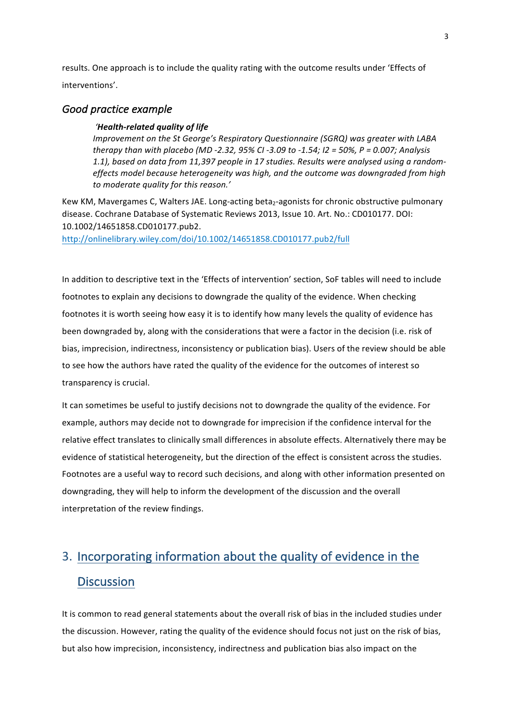results. One approach is to include the quality rating with the outcome results under 'Effects of interventions'. 

### Good practice example

#### *'Health-related quality of life*

*Improvement on the St George's Respiratory Questionnaire (SGRQ)* was greater with LABA *therapy than with placebo (MD -2.32, 95% CI -3.09 to -1.54; I2 = 50%, P = 0.007; Analysis* 1.1), based on data from 11,397 people in 17 studies. Results were analysed using a randomeffects model because heterogeneity was high, and the outcome was downgraded from high *to moderate quality for this reason.'*

Kew KM, Mavergames C, Walters JAE. Long-acting beta<sub>2</sub>-agonists for chronic obstructive pulmonary disease. Cochrane Database of Systematic Reviews 2013, Issue 10. Art. No.: CD010177. DOI: 10.1002/14651858.CD010177.pub2. 

http://onlinelibrary.wiley.com/doi/10.1002/14651858.CD010177.pub2/full

In addition to descriptive text in the 'Effects of intervention' section, SoF tables will need to include footnotes to explain any decisions to downgrade the quality of the evidence. When checking footnotes it is worth seeing how easy it is to identify how many levels the quality of evidence has been downgraded by, along with the considerations that were a factor in the decision (i.e. risk of bias, imprecision, indirectness, inconsistency or publication bias). Users of the review should be able to see how the authors have rated the quality of the evidence for the outcomes of interest so transparency is crucial.

It can sometimes be useful to justify decisions not to downgrade the quality of the evidence. For example, authors may decide not to downgrade for imprecision if the confidence interval for the relative effect translates to clinically small differences in absolute effects. Alternatively there may be evidence of statistical heterogeneity, but the direction of the effect is consistent across the studies. Footnotes are a useful way to record such decisions, and along with other information presented on downgrading, they will help to inform the development of the discussion and the overall interpretation of the review findings.

## 3. Incorporating information about the quality of evidence in the **Discussion**

It is common to read general statements about the overall risk of bias in the included studies under the discussion. However, rating the quality of the evidence should focus not just on the risk of bias, but also how imprecision, inconsistency, indirectness and publication bias also impact on the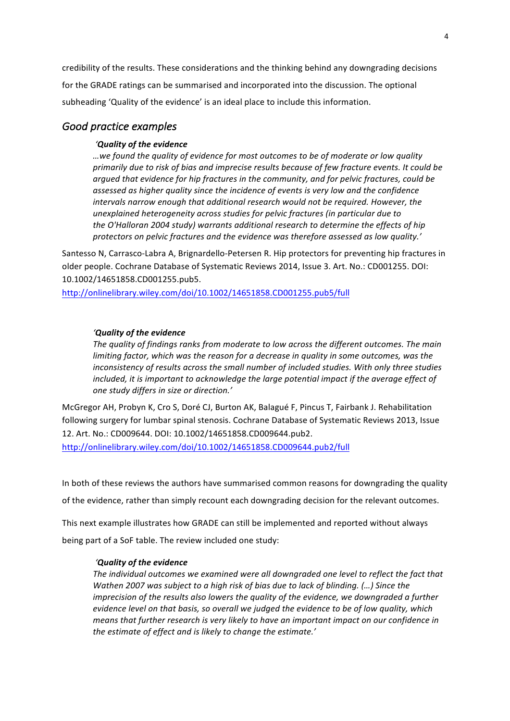credibility of the results. These considerations and the thinking behind any downgrading decisions for the GRADE ratings can be summarised and incorporated into the discussion. The optional subheading 'Quality of the evidence' is an ideal place to include this information.

### Good practice examples

#### *'Quality of the evidence*

*…we found the quality of evidence for most outcomes to be of moderate or low quality*  primarily due to risk of bias and imprecise results because of few fracture events. It could be argued that evidence for hip fractures in the community, and for pelvic fractures, could be assessed as higher quality since the incidence of events is very low and the confidence *intervals narrow enough that additional research would not be required. However, the unexplained heterogeneity across studies for pelvic fractures (in particular due to the O'Halloran 2004 study) warrants additional research to determine the effects of hip*  protectors on pelvic fractures and the evidence was therefore assessed as low quality.'

Santesso N, Carrasco-Labra A, Brignardello-Petersen R. Hip protectors for preventing hip fractures in older people. Cochrane Database of Systematic Reviews 2014, Issue 3. Art. No.: CD001255. DOI: 10.1002/14651858.CD001255.pub5. 

http://onlinelibrary.wiley.com/doi/10.1002/14651858.CD001255.pub5/full

#### *'Quality of the evidence*

The quality of findings ranks from moderate to low across the different outcomes. The main *limiting factor, which was the reason for a decrease in quality in some outcomes, was the inconsistency of results across the small number of included studies. With only three studies* included, it is important to acknowledge the large potential impact if the average effect of *one study differs in size or direction.'*

McGregor AH, Probyn K, Cro S, Doré CJ, Burton AK, Balagué F, Pincus T, Fairbank J. Rehabilitation following surgery for lumbar spinal stenosis. Cochrane Database of Systematic Reviews 2013, Issue 12. Art. No.: CD009644. DOI: 10.1002/14651858.CD009644.pub2.

http://onlinelibrary.wiley.com/doi/10.1002/14651858.CD009644.pub2/full

In both of these reviews the authors have summarised common reasons for downgrading the quality of the evidence, rather than simply recount each downgrading decision for the relevant outcomes.

This next example illustrates how GRADE can still be implemented and reported without always

being part of a SoF table. The review included one study:

#### *'Quality of the evidence*

The individual outcomes we examined were all downgraded one level to reflect the fact that *Wathen 2007* was subject to a high risk of bias due to lack of blinding. (...) Since the *imprecision of the results also lowers the quality of the evidence, we downgraded a further evidence level on that basis, so overall we judged the evidence to be of low quality, which means* that further research is very likely to have an important impact on our confidence in the estimate of effect and is likely to change the estimate.'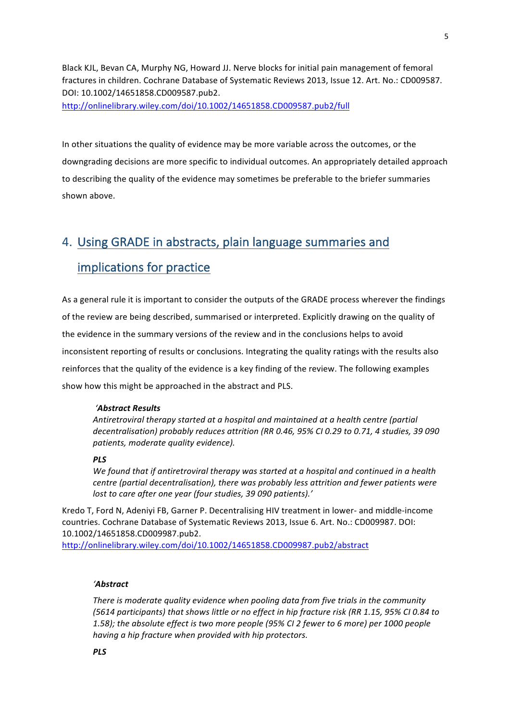Black KJL, Bevan CA, Murphy NG, Howard JJ. Nerve blocks for initial pain management of femoral fractures in children. Cochrane Database of Systematic Reviews 2013, Issue 12. Art. No.: CD009587. DOI: 10.1002/14651858.CD009587.pub2. http://onlinelibrary.wiley.com/doi/10.1002/14651858.CD009587.pub2/full

In other situations the quality of evidence may be more variable across the outcomes, or the downgrading decisions are more specific to individual outcomes. An appropriately detailed approach to describing the quality of the evidence may sometimes be preferable to the briefer summaries shown above.

## 4. Using GRADE in abstracts, plain language summaries and implications for practice

As a general rule it is important to consider the outputs of the GRADE process wherever the findings of the review are being described, summarised or interpreted. Explicitly drawing on the quality of the evidence in the summary versions of the review and in the conclusions helps to avoid inconsistent reporting of results or conclusions. Integrating the quality ratings with the results also reinforces that the quality of the evidence is a key finding of the review. The following examples show how this might be approached in the abstract and PLS.

#### *'Abstract Results*

Antiretroviral therapy started at a hospital and maintained at a health centre (partial decentralisation) probably reduces attrition (RR 0.46, 95% CI 0.29 to 0.71, 4 studies, 39 090 patients, moderate quality evidence).

#### *PLS*

We found that if antiretroviral *therapy* was started at a hospital and continued in a health *centre (partial decentralisation), there was probably less attrition and fewer patients were lost to care after one year (four studies, 39 090 patients).'* 

Kredo T, Ford N, Adeniyi FB, Garner P. Decentralising HIV treatment in lower- and middle-income countries. Cochrane Database of Systematic Reviews 2013, Issue 6. Art. No.: CD009987. DOI: 10.1002/14651858.CD009987.pub2.

http://onlinelibrary.wiley.com/doi/10.1002/14651858.CD009987.pub2/abstract

#### *'Abstract*

There is moderate quality evidence when pooling data from five trials in the community (5614 participants) that shows little or no effect in hip fracture risk (RR 1.15, 95% CI 0.84 to 1.58); the absolute effect is two more people (95% CI 2 fewer to 6 more) per 1000 people *having* a hip fracture when provided with hip protectors.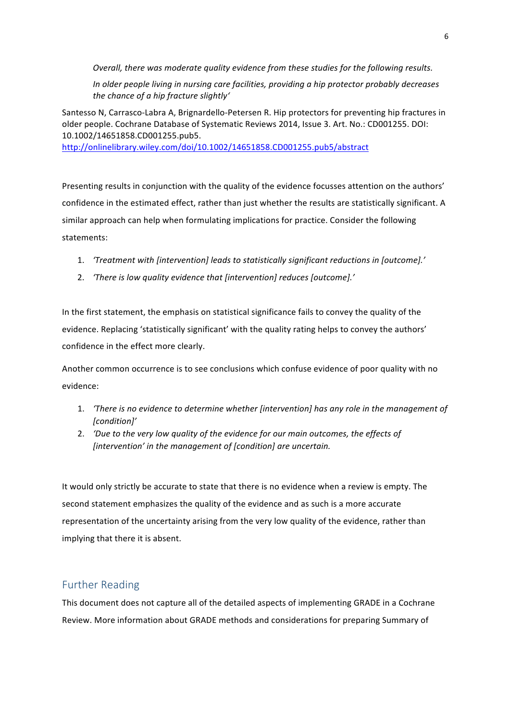*Overall, there was moderate quality evidence from these studies for the following results.* 

*In* older people living in nursing care facilities, providing a hip protector probably decreases *the chance of a hip fracture slightly'*

Santesso N, Carrasco-Labra A, Brignardello-Petersen R. Hip protectors for preventing hip fractures in older people. Cochrane Database of Systematic Reviews 2014, Issue 3. Art. No.: CD001255. DOI: 10.1002/14651858.CD001255.pub5.

http://onlinelibrary.wiley.com/doi/10.1002/14651858.CD001255.pub5/abstract

Presenting results in conjunction with the quality of the evidence focusses attention on the authors' confidence in the estimated effect, rather than just whether the results are statistically significant. A similar approach can help when formulating implications for practice. Consider the following statements: 

- 1. 'Treatment with [intervention] leads to statistically significant reductions in [outcome].'
- 2. 'There is low quality evidence that [intervention] reduces [outcome].'

In the first statement, the emphasis on statistical significance fails to convey the quality of the evidence. Replacing 'statistically significant' with the quality rating helps to convey the authors' confidence in the effect more clearly.

Another common occurrence is to see conclusions which confuse evidence of poor quality with no evidence: 

- 1. *There is no evidence to determine whether [intervention] has any role in the management of [condition]'*
- 2. *'Due to the very low quality of the evidence for our main outcomes, the effects of [intervention' in the management of [condition] are uncertain.*

It would only strictly be accurate to state that there is no evidence when a review is empty. The second statement emphasizes the quality of the evidence and as such is a more accurate representation of the uncertainty arising from the very low quality of the evidence, rather than implying that there it is absent.

## **Further Reading**

This document does not capture all of the detailed aspects of implementing GRADE in a Cochrane Review. More information about GRADE methods and considerations for preparing Summary of